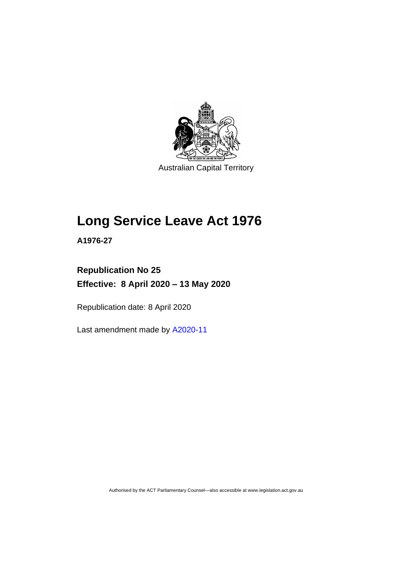

Australian Capital Territory

# **Long Service Leave Act 1976**

**A1976-27**

# **Republication No 25 Effective: 8 April 2020 – 13 May 2020**

Republication date: 8 April 2020

Last amendment made by [A2020-11](http://www.legislation.act.gov.au/a/2020-11/#history)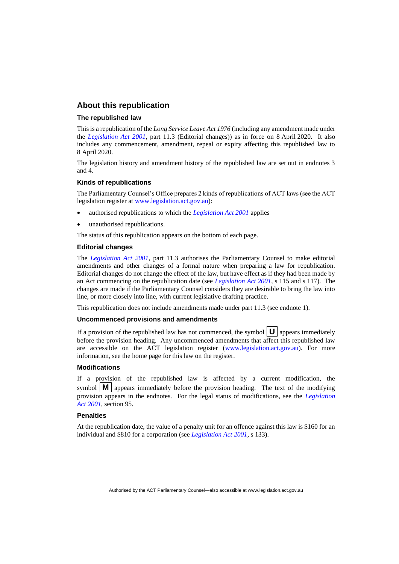# **About this republication**

#### **The republished law**

This is a republication of the *Long Service Leave Act 1976* (including any amendment made under the *[Legislation Act 2001](http://www.legislation.act.gov.au/a/2001-14)*, part 11.3 (Editorial changes)) as in force on 8 April 2020*.* It also includes any commencement, amendment, repeal or expiry affecting this republished law to 8 April 2020.

The legislation history and amendment history of the republished law are set out in endnotes 3 and 4.

#### **Kinds of republications**

The Parliamentary Counsel's Office prepares 2 kinds of republications of ACT laws (see the ACT legislation register at [www.legislation.act.gov.au\)](http://www.legislation.act.gov.au/):

- authorised republications to which the *[Legislation Act 2001](http://www.legislation.act.gov.au/a/2001-14)* applies
- unauthorised republications.

The status of this republication appears on the bottom of each page.

#### **Editorial changes**

The *[Legislation Act 2001](http://www.legislation.act.gov.au/a/2001-14)*, part 11.3 authorises the Parliamentary Counsel to make editorial amendments and other changes of a formal nature when preparing a law for republication. Editorial changes do not change the effect of the law, but have effect as if they had been made by an Act commencing on the republication date (see *[Legislation Act 2001](http://www.legislation.act.gov.au/a/2001-14)*, s 115 and s 117). The changes are made if the Parliamentary Counsel considers they are desirable to bring the law into line, or more closely into line, with current legislative drafting practice.

This republication does not include amendments made under part 11.3 (see endnote 1).

#### **Uncommenced provisions and amendments**

If a provision of the republished law has not commenced, the symbol  $\mathbf{U}$  appears immediately before the provision heading. Any uncommenced amendments that affect this republished law are accessible on the ACT legislation register [\(www.legislation.act.gov.au\)](http://www.legislation.act.gov.au/). For more information, see the home page for this law on the register.

#### **Modifications**

If a provision of the republished law is affected by a current modification, the symbol  $\mathbf{M}$  appears immediately before the provision heading. The text of the modifying provision appears in the endnotes. For the legal status of modifications, see the *[Legislation](http://www.legislation.act.gov.au/a/2001-14)  Act [2001](http://www.legislation.act.gov.au/a/2001-14)*, section 95.

#### **Penalties**

At the republication date, the value of a penalty unit for an offence against this law is \$160 for an individual and \$810 for a corporation (see *[Legislation Act 2001](http://www.legislation.act.gov.au/a/2001-14)*, s 133).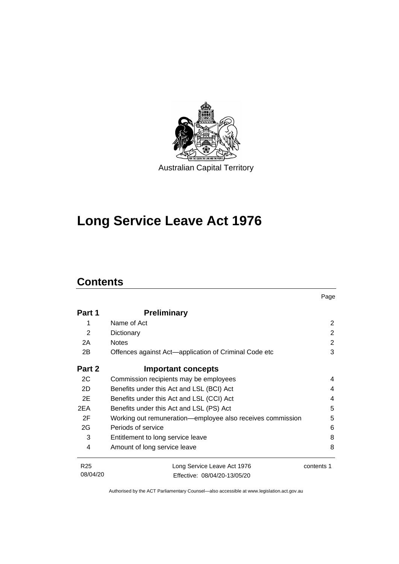

# **Long Service Leave Act 1976**

# **Contents**

|                 |                                                            | Page       |
|-----------------|------------------------------------------------------------|------------|
| Part 1          | <b>Preliminary</b>                                         |            |
| 1               | Name of Act                                                | 2          |
| 2               | Dictionary                                                 | 2          |
| 2A              | <b>Notes</b>                                               | 2          |
| 2B              | Offences against Act—application of Criminal Code etc      | 3          |
| Part 2          | <b>Important concepts</b>                                  |            |
| 2C              | Commission recipients may be employees                     | 4          |
| 2D              | Benefits under this Act and LSL (BCI) Act                  | 4          |
| 2E              | Benefits under this Act and LSL (CCI) Act                  | 4          |
| 2EA             | Benefits under this Act and LSL (PS) Act                   | 5          |
| 2F              | Working out remuneration—employee also receives commission | 5          |
| 2G              | Periods of service                                         | 6          |
| 3               | Entitlement to long service leave                          | 8          |
| 4               | Amount of long service leave                               | 8          |
| R <sub>25</sub> | Long Service Leave Act 1976                                | contents 1 |
| 08/04/20        | Fffective: 08/04/20-13/05/20                               |            |

Authorised by the ACT Parliamentary Counsel—also accessible at www.legislation.act.gov.au

Effective: 08/04/20-13/05/20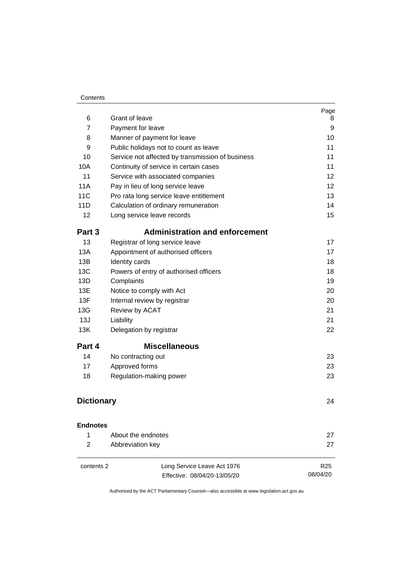#### **Contents**

| 6                 | Grant of leave                                   | Page<br>8       |
|-------------------|--------------------------------------------------|-----------------|
| $\overline{7}$    | Payment for leave                                | 9               |
| 8                 | Manner of payment for leave                      | 10              |
| 9                 | Public holidays not to count as leave            | 11              |
| 10                | Service not affected by transmission of business | 11              |
| 10A               | Continuity of service in certain cases           | 11              |
| 11                | Service with associated companies                | 12              |
| <b>11A</b>        | Pay in lieu of long service leave                | 12              |
| 11C               | Pro rata long service leave entitlement          | 13              |
| 11D               | Calculation of ordinary remuneration             | 14              |
| 12                | Long service leave records                       | 15              |
| Part 3            | <b>Administration and enforcement</b>            |                 |
| 13                | Registrar of long service leave                  | 17              |
| 13A               | Appointment of authorised officers               | 17              |
| 13B               | Identity cards                                   | 18              |
| 13C               | Powers of entry of authorised officers           | 18              |
| 13D               | Complaints                                       | 19              |
| 13E               | Notice to comply with Act                        | 20              |
| 13F               | Internal review by registrar                     | 20              |
| 13G               | Review by ACAT                                   | 21              |
| 13J               | Liability                                        | 21              |
| 13K               | Delegation by registrar                          | 22              |
| Part 4            | <b>Miscellaneous</b>                             |                 |
| 14                | No contracting out                               | 23              |
| 17                | Approved forms                                   | 23              |
| 18                | Regulation-making power                          | 23              |
| <b>Dictionary</b> | 24                                               |                 |
| <b>Endnotes</b>   |                                                  |                 |
| 1                 | About the endnotes                               | 27              |
| 2                 | Abbreviation key                                 | 27              |
| contents 2        | Long Service Leave Act 1976                      | R <sub>25</sub> |
|                   | Effective: 08/04/20-13/05/20                     | 08/04/20        |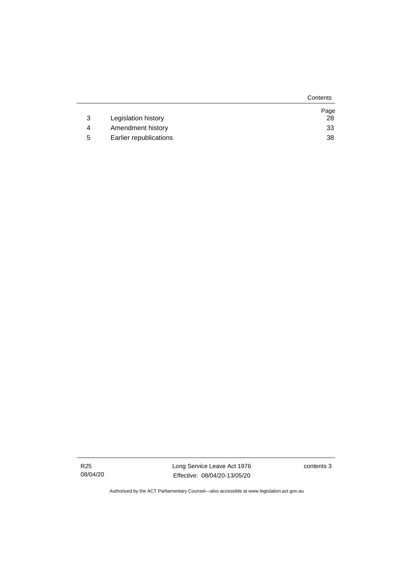|   |                        | Contents |
|---|------------------------|----------|
|   |                        | Page     |
| 3 | Legislation history    | 28       |
| 4 | Amendment history      | 33       |
| 5 | Earlier republications | 38       |

R25 08/04/20 Long Service Leave Act 1976 Effective: 08/04/20-13/05/20

contents 3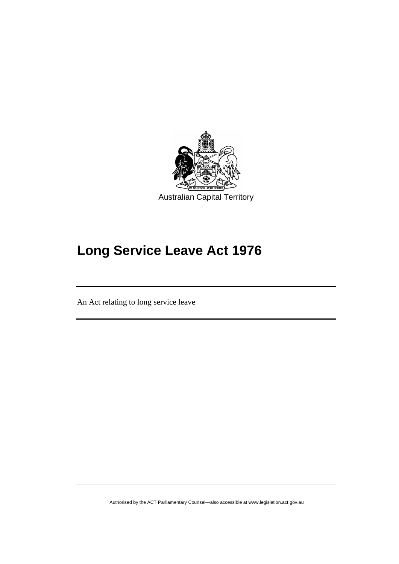

# **Long Service Leave Act 1976**

An Act relating to long service leave

֖֖֖֚֚֚֡֬֝֬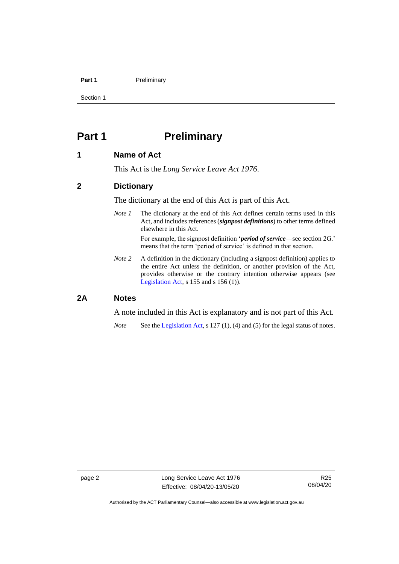## **Part 1** Preliminary

Section 1

# <span id="page-7-0"></span>**Part 1 Preliminary**

# <span id="page-7-1"></span>**1 Name of Act**

This Act is the *Long Service Leave Act 1976*.

# <span id="page-7-2"></span>**2 Dictionary**

The dictionary at the end of this Act is part of this Act.

*Note 1* The dictionary at the end of this Act defines certain terms used in this Act, and includes references (*signpost definitions*) to other terms defined elsewhere in this Act.

> For example, the signpost definition '*period of service*—see section 2G.' means that the term 'period of service' is defined in that section.

*Note 2* A definition in the dictionary (including a signpost definition) applies to the entire Act unless the definition, or another provision of the Act, provides otherwise or the contrary intention otherwise appears (see [Legislation Act,](http://www.legislation.act.gov.au/a/2001-14) s 155 and s 156 (1)).

# <span id="page-7-3"></span>**2A Notes**

A note included in this Act is explanatory and is not part of this Act.

*Note* See the [Legislation Act,](http://www.legislation.act.gov.au/a/2001-14) s 127 (1), (4) and (5) for the legal status of notes.

Authorised by the ACT Parliamentary Counsel—also accessible at www.legislation.act.gov.au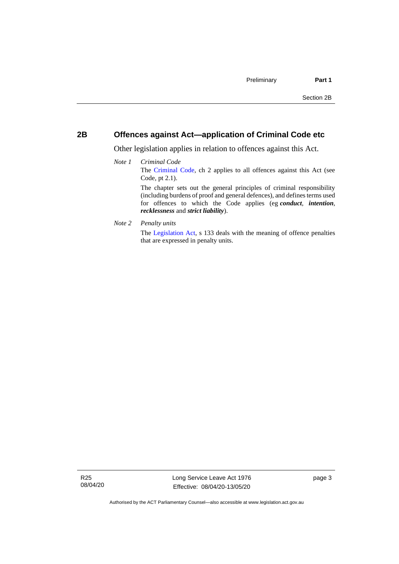# <span id="page-8-0"></span>**2B Offences against Act—application of Criminal Code etc**

Other legislation applies in relation to offences against this Act.

## *Note 1 Criminal Code* The [Criminal Code,](http://www.legislation.act.gov.au/a/2002-51) ch 2 applies to all offences against this Act (see Code, pt 2.1). The chapter sets out the general principles of criminal responsibility (including burdens of proof and general defences), and defines terms used for offences to which the Code applies (eg *conduct*, *intention*, *recklessness* and *strict liability*).

*Note 2 Penalty units*

The [Legislation Act,](http://www.legislation.act.gov.au/a/2001-14) s 133 deals with the meaning of offence penalties that are expressed in penalty units.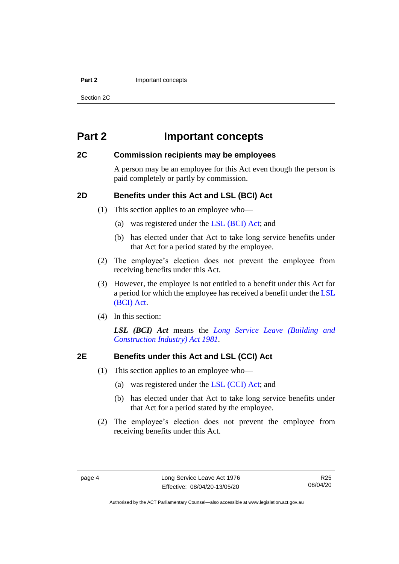#### **Part 2** Important concepts

Section 2C

# <span id="page-9-0"></span>**Part 2 Important concepts**

# <span id="page-9-1"></span>**2C Commission recipients may be employees**

A person may be an employee for this Act even though the person is paid completely or partly by commission.

# <span id="page-9-2"></span>**2D Benefits under this Act and LSL (BCI) Act**

(1) This section applies to an employee who—

- (a) was registered under the [LSL \(BCI\) Act;](http://www.legislation.act.gov.au/a/1981-23/default.asp) and
- (b) has elected under that Act to take long service benefits under that Act for a period stated by the employee.
- (2) The employee's election does not prevent the employee from receiving benefits under this Act.
- (3) However, the employee is not entitled to a benefit under this Act for a period for which the employee has received a benefit under the [LSL](http://www.legislation.act.gov.au/a/1981-23/default.asp)  [\(BCI\) Act.](http://www.legislation.act.gov.au/a/1981-23/default.asp)
- (4) In this section:

*LSL (BCI) Act* means the *[Long Service Leave \(Building and](http://www.legislation.act.gov.au/a/1981-23)  [Construction Industry\) Act 1981.](http://www.legislation.act.gov.au/a/1981-23)*

# <span id="page-9-3"></span>**2E Benefits under this Act and LSL (CCI) Act**

- (1) This section applies to an employee who—
	- (a) was registered under the [LSL \(CCI\) Act;](http://www.legislation.act.gov.au/a/1999-85/default.asp) and
	- (b) has elected under that Act to take long service benefits under that Act for a period stated by the employee.
- (2) The employee's election does not prevent the employee from receiving benefits under this Act.

Authorised by the ACT Parliamentary Counsel—also accessible at www.legislation.act.gov.au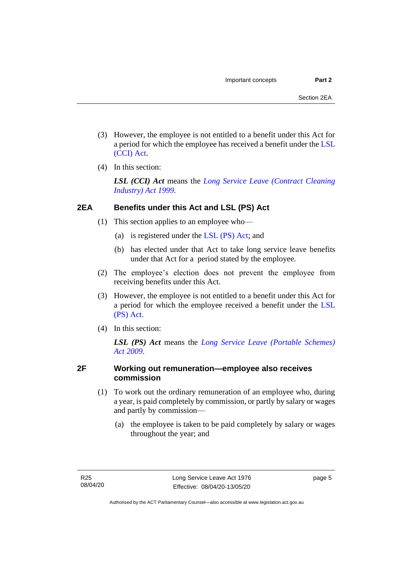- (3) However, the employee is not entitled to a benefit under this Act for a period for which the employee has received a benefit under the [LSL](http://www.legislation.act.gov.au/a/1999-85/default.asp)  [\(CCI\) Act.](http://www.legislation.act.gov.au/a/1999-85/default.asp)
- (4) In this section:

*LSL (CCI) Act* means the *[Long Service Leave \(Contract Cleaning](http://www.legislation.act.gov.au/a/1999-85)  [Industry\) Act 1999.](http://www.legislation.act.gov.au/a/1999-85)*

# <span id="page-10-0"></span>**2EA Benefits under this Act and LSL (PS) Act**

- (1) This section applies to an employee who—
	- (a) is registered under the [LSL \(PS\) Act;](http://www.legislation.act.gov.au/a/2009-25/default.asp) and
	- (b) has elected under that Act to take long service leave benefits under that Act for a period stated by the employee.
- (2) The employee's election does not prevent the employee from receiving benefits under this Act.
- (3) However, the employee is not entitled to a benefit under this Act for a period for which the employee received a benefit under the [LSL](http://www.legislation.act.gov.au/a/2009-25/default.asp)  [\(PS\) Act.](http://www.legislation.act.gov.au/a/2009-25/default.asp)
- (4) In this section:

*LSL (PS) Act* means the *[Long Service Leave \(Portable Schemes\)](http://www.legislation.act.gov.au/a/2009-25)  Act [2009](http://www.legislation.act.gov.au/a/2009-25)*.

# <span id="page-10-1"></span>**2F Working out remuneration—employee also receives commission**

- (1) To work out the ordinary remuneration of an employee who, during a year, is paid completely by commission, or partly by salary or wages and partly by commission—
	- (a) the employee is taken to be paid completely by salary or wages throughout the year; and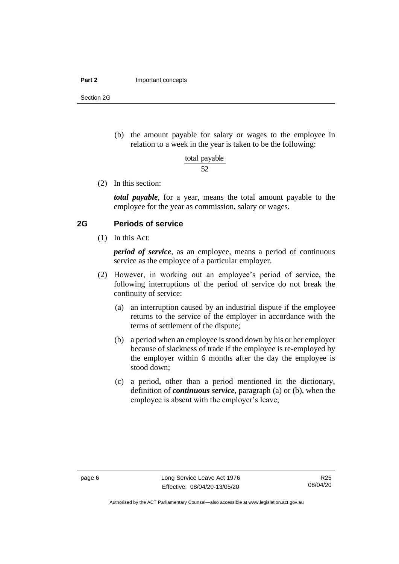#### **Part 2** Important concepts

Section 2G

(b) the amount payable for salary or wages to the employee in relation to a week in the year is taken to be the following:

> 52 total payable

(2) In this section:

*total payable*, for a year, means the total amount payable to the employee for the year as commission, salary or wages.

# <span id="page-11-0"></span>**2G Periods of service**

(1) In this Act:

*period of service*, as an employee, means a period of continuous service as the employee of a particular employer.

- (2) However, in working out an employee's period of service, the following interruptions of the period of service do not break the continuity of service:
	- (a) an interruption caused by an industrial dispute if the employee returns to the service of the employer in accordance with the terms of settlement of the dispute;
	- (b) a period when an employee is stood down by his or her employer because of slackness of trade if the employee is re-employed by the employer within 6 months after the day the employee is stood down;
	- (c) a period, other than a period mentioned in the dictionary, definition of *continuous service*, paragraph (a) or (b), when the employee is absent with the employer's leave;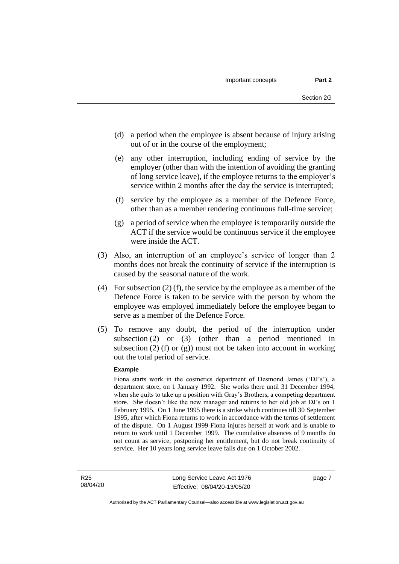- (d) a period when the employee is absent because of injury arising out of or in the course of the employment;
- (e) any other interruption, including ending of service by the employer (other than with the intention of avoiding the granting of long service leave), if the employee returns to the employer's service within 2 months after the day the service is interrupted;
- (f) service by the employee as a member of the Defence Force, other than as a member rendering continuous full-time service;
- (g) a period of service when the employee is temporarily outside the ACT if the service would be continuous service if the employee were inside the ACT.
- (3) Also, an interruption of an employee's service of longer than 2 months does not break the continuity of service if the interruption is caused by the seasonal nature of the work.
- (4) For subsection (2) (f), the service by the employee as a member of the Defence Force is taken to be service with the person by whom the employee was employed immediately before the employee began to serve as a member of the Defence Force.
- (5) To remove any doubt, the period of the interruption under subsection (2) or (3) (other than a period mentioned in subsection  $(2)$  (f) or  $(g)$ ) must not be taken into account in working out the total period of service.

#### **Example**

Fiona starts work in the cosmetics department of Desmond James ('DJ's'), a department store, on 1 January 1992. She works there until 31 December 1994, when she quits to take up a position with Gray's Brothers, a competing department store. She doesn't like the new manager and returns to her old job at DJ's on 1 February 1995. On 1 June 1995 there is a strike which continues till 30 September 1995, after which Fiona returns to work in accordance with the terms of settlement of the dispute. On 1 August 1999 Fiona injures herself at work and is unable to return to work until 1 December 1999. The cumulative absences of 9 months do not count as service, postponing her entitlement, but do not break continuity of service. Her 10 years long service leave falls due on 1 October 2002.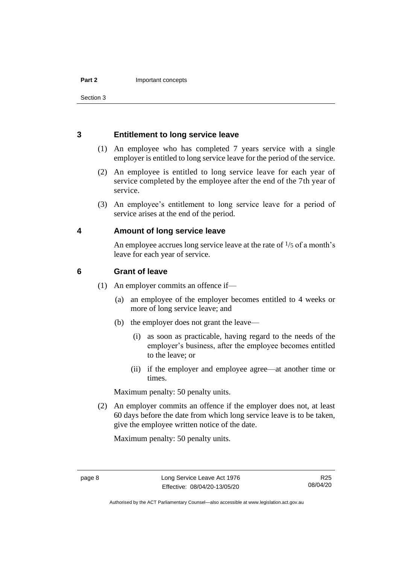# <span id="page-13-0"></span>**3 Entitlement to long service leave**

- (1) An employee who has completed 7 years service with a single employer is entitled to long service leave for the period of the service.
- (2) An employee is entitled to long service leave for each year of service completed by the employee after the end of the 7th year of service.
- (3) An employee's entitlement to long service leave for a period of service arises at the end of the period.

# <span id="page-13-1"></span>**4 Amount of long service leave**

An employee accrues long service leave at the rate of  $\frac{1}{5}$  of a month's leave for each year of service.

# <span id="page-13-2"></span>**6 Grant of leave**

- (1) An employer commits an offence if—
	- (a) an employee of the employer becomes entitled to 4 weeks or more of long service leave; and
	- (b) the employer does not grant the leave—
		- (i) as soon as practicable, having regard to the needs of the employer's business, after the employee becomes entitled to the leave; or
		- (ii) if the employer and employee agree—at another time or times.

Maximum penalty: 50 penalty units.

(2) An employer commits an offence if the employer does not, at least 60 days before the date from which long service leave is to be taken, give the employee written notice of the date.

Maximum penalty: 50 penalty units.

Authorised by the ACT Parliamentary Counsel—also accessible at www.legislation.act.gov.au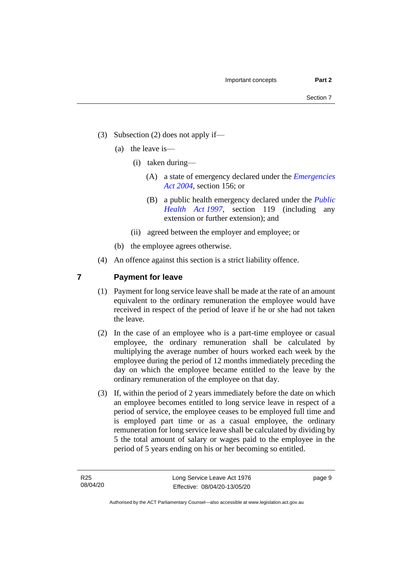- (3) Subsection (2) does not apply if—
	- (a) the leave is—
		- (i) taken during—
			- (A) a state of emergency declared under the *[Emergencies](http://www.legislation.act.gov.au/a/2004-28)  Act [2004](http://www.legislation.act.gov.au/a/2004-28)*, section 156; or
			- (B) a public health emergency declared under the *[Public](http://www.legislation.act.gov.au/a/1997-69)  [Health Act](http://www.legislation.act.gov.au/a/1997-69) 1997*, section 119 (including any extension or further extension); and
		- (ii) agreed between the employer and employee; or
	- (b) the employee agrees otherwise.
- (4) An offence against this section is a strict liability offence.

# <span id="page-14-0"></span>**7 Payment for leave**

- (1) Payment for long service leave shall be made at the rate of an amount equivalent to the ordinary remuneration the employee would have received in respect of the period of leave if he or she had not taken the leave.
- (2) In the case of an employee who is a part-time employee or casual employee, the ordinary remuneration shall be calculated by multiplying the average number of hours worked each week by the employee during the period of 12 months immediately preceding the day on which the employee became entitled to the leave by the ordinary remuneration of the employee on that day.
- (3) If, within the period of 2 years immediately before the date on which an employee becomes entitled to long service leave in respect of a period of service, the employee ceases to be employed full time and is employed part time or as a casual employee, the ordinary remuneration for long service leave shall be calculated by dividing by 5 the total amount of salary or wages paid to the employee in the period of 5 years ending on his or her becoming so entitled.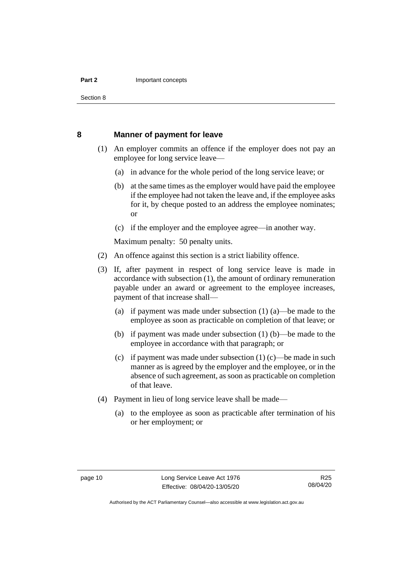#### **Part 2** Important concepts

Section 8

## <span id="page-15-0"></span>**8 Manner of payment for leave**

- (1) An employer commits an offence if the employer does not pay an employee for long service leave—
	- (a) in advance for the whole period of the long service leave; or
	- (b) at the same times as the employer would have paid the employee if the employee had not taken the leave and, if the employee asks for it, by cheque posted to an address the employee nominates; or
	- (c) if the employer and the employee agree—in another way.

Maximum penalty: 50 penalty units.

- (2) An offence against this section is a strict liability offence.
- (3) If, after payment in respect of long service leave is made in accordance with subsection (1), the amount of ordinary remuneration payable under an award or agreement to the employee increases, payment of that increase shall—
	- (a) if payment was made under subsection (1) (a)—be made to the employee as soon as practicable on completion of that leave; or
	- (b) if payment was made under subsection (1) (b)—be made to the employee in accordance with that paragraph; or
	- (c) if payment was made under subsection  $(1)$  (c)—be made in such manner as is agreed by the employer and the employee, or in the absence of such agreement, as soon as practicable on completion of that leave.
- (4) Payment in lieu of long service leave shall be made—
	- (a) to the employee as soon as practicable after termination of his or her employment; or

Authorised by the ACT Parliamentary Counsel—also accessible at www.legislation.act.gov.au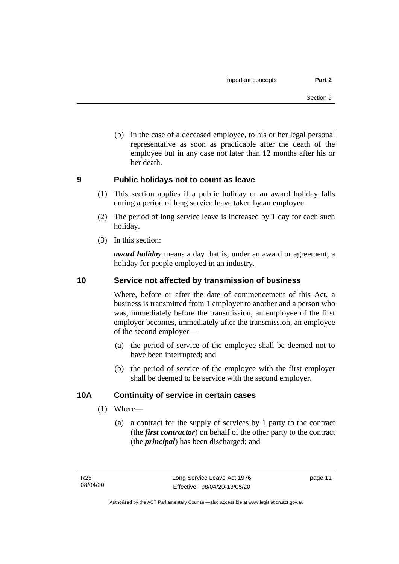(b) in the case of a deceased employee, to his or her legal personal representative as soon as practicable after the death of the employee but in any case not later than 12 months after his or her death.

# <span id="page-16-0"></span>**9 Public holidays not to count as leave**

- (1) This section applies if a public holiday or an award holiday falls during a period of long service leave taken by an employee.
- (2) The period of long service leave is increased by 1 day for each such holiday.
- (3) In this section:

*award holiday* means a day that is, under an award or agreement, a holiday for people employed in an industry.

# <span id="page-16-1"></span>**10 Service not affected by transmission of business**

Where, before or after the date of commencement of this Act, a business is transmitted from 1 employer to another and a person who was, immediately before the transmission, an employee of the first employer becomes, immediately after the transmission, an employee of the second employer—

- (a) the period of service of the employee shall be deemed not to have been interrupted; and
- (b) the period of service of the employee with the first employer shall be deemed to be service with the second employer.

# <span id="page-16-2"></span>**10A Continuity of service in certain cases**

- (1) Where—
	- (a) a contract for the supply of services by 1 party to the contract (the *first contractor*) on behalf of the other party to the contract (the *principal*) has been discharged; and

page 11

Authorised by the ACT Parliamentary Counsel—also accessible at www.legislation.act.gov.au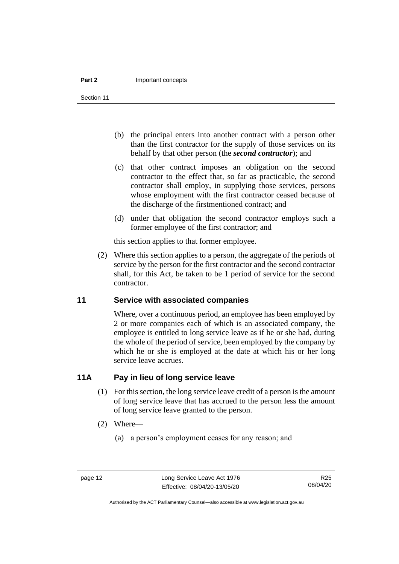#### **Part 2** Important concepts

Section 11

- (b) the principal enters into another contract with a person other than the first contractor for the supply of those services on its behalf by that other person (the *second contractor*); and
- (c) that other contract imposes an obligation on the second contractor to the effect that, so far as practicable, the second contractor shall employ, in supplying those services, persons whose employment with the first contractor ceased because of the discharge of the firstmentioned contract; and
- (d) under that obligation the second contractor employs such a former employee of the first contractor; and

this section applies to that former employee.

(2) Where this section applies to a person, the aggregate of the periods of service by the person for the first contractor and the second contractor shall, for this Act, be taken to be 1 period of service for the second contractor.

# <span id="page-17-0"></span>**11 Service with associated companies**

Where, over a continuous period, an employee has been employed by 2 or more companies each of which is an associated company, the employee is entitled to long service leave as if he or she had, during the whole of the period of service, been employed by the company by which he or she is employed at the date at which his or her long service leave accrues.

# <span id="page-17-1"></span>**11A Pay in lieu of long service leave**

- (1) For this section, the long service leave credit of a person is the amount of long service leave that has accrued to the person less the amount of long service leave granted to the person.
- (2) Where—
	- (a) a person's employment ceases for any reason; and

R25 08/04/20

Authorised by the ACT Parliamentary Counsel—also accessible at www.legislation.act.gov.au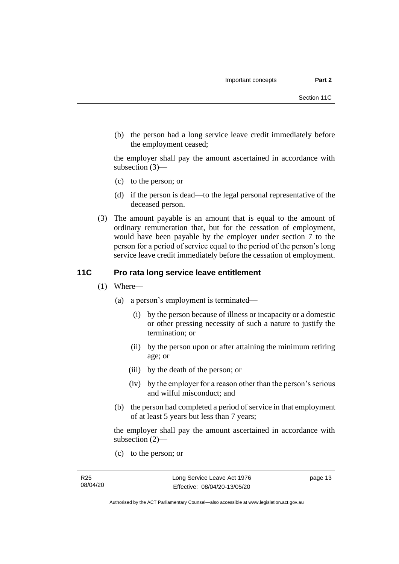(b) the person had a long service leave credit immediately before the employment ceased;

the employer shall pay the amount ascertained in accordance with subsection (3)—

- (c) to the person; or
- (d) if the person is dead—to the legal personal representative of the deceased person.
- (3) The amount payable is an amount that is equal to the amount of ordinary remuneration that, but for the cessation of employment, would have been payable by the employer under section 7 to the person for a period of service equal to the period of the person's long service leave credit immediately before the cessation of employment.

# <span id="page-18-0"></span>**11C Pro rata long service leave entitlement**

- (1) Where—
	- (a) a person's employment is terminated—
		- (i) by the person because of illness or incapacity or a domestic or other pressing necessity of such a nature to justify the termination; or
		- (ii) by the person upon or after attaining the minimum retiring age; or
		- (iii) by the death of the person; or
		- (iv) by the employer for a reason other than the person's serious and wilful misconduct; and
	- (b) the person had completed a period of service in that employment of at least 5 years but less than 7 years;

the employer shall pay the amount ascertained in accordance with subsection (2)—

(c) to the person; or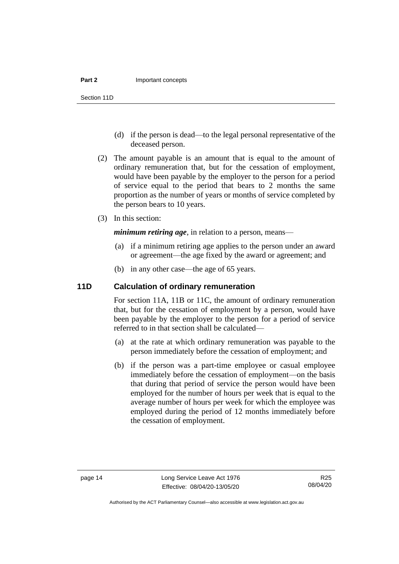#### **Part 2** Important concepts

Section 11D

- (d) if the person is dead—to the legal personal representative of the deceased person.
- (2) The amount payable is an amount that is equal to the amount of ordinary remuneration that, but for the cessation of employment, would have been payable by the employer to the person for a period of service equal to the period that bears to 2 months the same proportion as the number of years or months of service completed by the person bears to 10 years.
- (3) In this section:

*minimum retiring age*, in relation to a person, means—

- (a) if a minimum retiring age applies to the person under an award or agreement—the age fixed by the award or agreement; and
- (b) in any other case—the age of 65 years.

# <span id="page-19-0"></span>**11D Calculation of ordinary remuneration**

For section 11A, 11B or 11C, the amount of ordinary remuneration that, but for the cessation of employment by a person, would have been payable by the employer to the person for a period of service referred to in that section shall be calculated—

- (a) at the rate at which ordinary remuneration was payable to the person immediately before the cessation of employment; and
- (b) if the person was a part-time employee or casual employee immediately before the cessation of employment—on the basis that during that period of service the person would have been employed for the number of hours per week that is equal to the average number of hours per week for which the employee was employed during the period of 12 months immediately before the cessation of employment.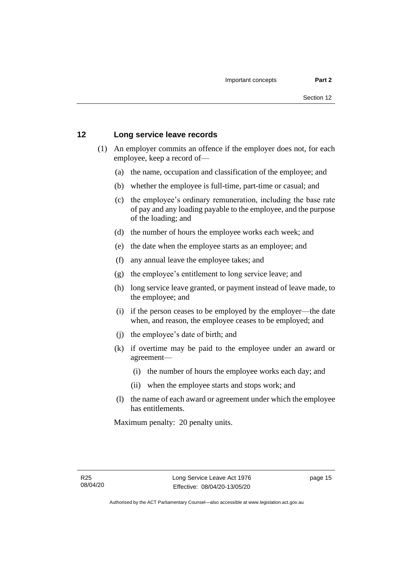# <span id="page-20-0"></span>**12 Long service leave records**

- (1) An employer commits an offence if the employer does not, for each employee, keep a record of—
	- (a) the name, occupation and classification of the employee; and
	- (b) whether the employee is full-time, part-time or casual; and
	- (c) the employee's ordinary remuneration, including the base rate of pay and any loading payable to the employee, and the purpose of the loading; and
	- (d) the number of hours the employee works each week; and
	- (e) the date when the employee starts as an employee; and
	- (f) any annual leave the employee takes; and
	- (g) the employee's entitlement to long service leave; and
	- (h) long service leave granted, or payment instead of leave made, to the employee; and
	- (i) if the person ceases to be employed by the employer—the date when, and reason, the employee ceases to be employed; and
	- (j) the employee's date of birth; and
	- (k) if overtime may be paid to the employee under an award or agreement—
		- (i) the number of hours the employee works each day; and
		- (ii) when the employee starts and stops work; and
	- (l) the name of each award or agreement under which the employee has entitlements.

Maximum penalty: 20 penalty units.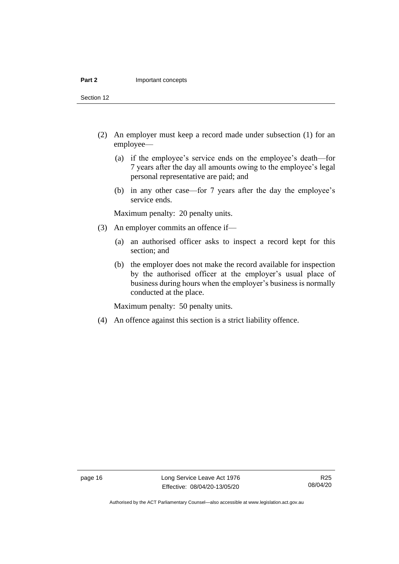#### **Part 2** Important concepts

Section 12

- (2) An employer must keep a record made under subsection (1) for an employee—
	- (a) if the employee's service ends on the employee's death—for 7 years after the day all amounts owing to the employee's legal personal representative are paid; and
	- (b) in any other case—for 7 years after the day the employee's service ends.

Maximum penalty: 20 penalty units.

- (3) An employer commits an offence if—
	- (a) an authorised officer asks to inspect a record kept for this section; and
	- (b) the employer does not make the record available for inspection by the authorised officer at the employer's usual place of business during hours when the employer's business is normally conducted at the place.

Maximum penalty: 50 penalty units.

(4) An offence against this section is a strict liability offence.

Authorised by the ACT Parliamentary Counsel—also accessible at www.legislation.act.gov.au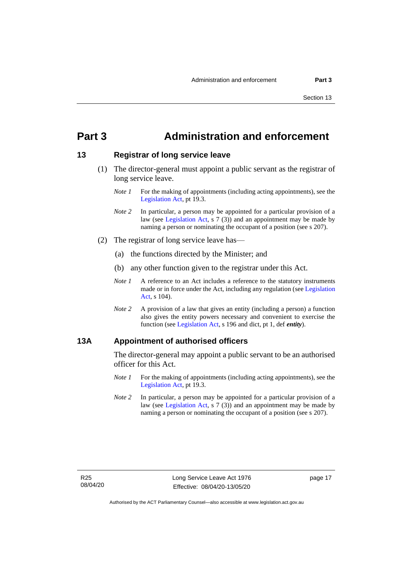# <span id="page-22-0"></span>**Part 3 Administration and enforcement**

## <span id="page-22-1"></span>**13 Registrar of long service leave**

- (1) The director-general must appoint a public servant as the registrar of long service leave.
	- *Note 1* For the making of appointments (including acting appointments), see the [Legislation Act,](http://www.legislation.act.gov.au/a/2001-14) pt 19.3.
	- *Note* 2 In particular, a person may be appointed for a particular provision of a law (see [Legislation Act,](http://www.legislation.act.gov.au/a/2001-14) s 7 (3)) and an appointment may be made by naming a person or nominating the occupant of a position (see s 207).
- (2) The registrar of long service leave has—
	- (a) the functions directed by the Minister; and
	- (b) any other function given to the registrar under this Act.
	- *Note 1* A reference to an Act includes a reference to the statutory instruments made or in force under the Act, including any regulation (se[e Legislation](http://www.legislation.act.gov.au/a/2001-14)  [Act,](http://www.legislation.act.gov.au/a/2001-14) s 104).
	- *Note 2* A provision of a law that gives an entity (including a person) a function also gives the entity powers necessary and convenient to exercise the function (see [Legislation Act,](http://www.legislation.act.gov.au/a/2001-14) s 196 and dict, pt 1, def *entity*).

## <span id="page-22-2"></span>**13A Appointment of authorised officers**

The director-general may appoint a public servant to be an authorised officer for this Act.

- *Note 1* For the making of appointments (including acting appointments), see the [Legislation Act,](http://www.legislation.act.gov.au/a/2001-14) pt 19.3.
- *Note 2* In particular, a person may be appointed for a particular provision of a law (see [Legislation Act,](http://www.legislation.act.gov.au/a/2001-14) s 7 (3)) and an appointment may be made by naming a person or nominating the occupant of a position (see s 207).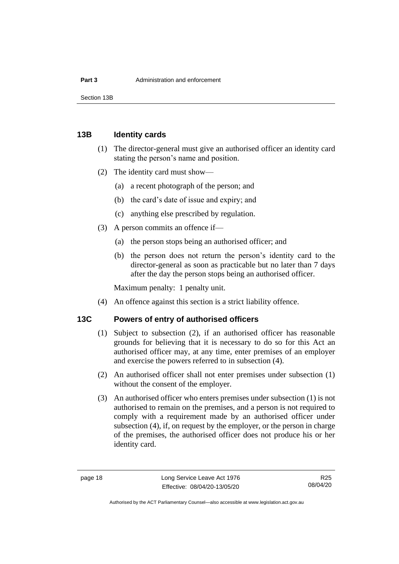Section 13B

# <span id="page-23-0"></span>**13B Identity cards**

- (1) The director-general must give an authorised officer an identity card stating the person's name and position.
- (2) The identity card must show—
	- (a) a recent photograph of the person; and
	- (b) the card's date of issue and expiry; and
	- (c) anything else prescribed by regulation.
- (3) A person commits an offence if—
	- (a) the person stops being an authorised officer; and
	- (b) the person does not return the person's identity card to the director-general as soon as practicable but no later than 7 days after the day the person stops being an authorised officer.

Maximum penalty: 1 penalty unit.

(4) An offence against this section is a strict liability offence.

# <span id="page-23-1"></span>**13C Powers of entry of authorised officers**

- (1) Subject to subsection (2), if an authorised officer has reasonable grounds for believing that it is necessary to do so for this Act an authorised officer may, at any time, enter premises of an employer and exercise the powers referred to in subsection (4).
- (2) An authorised officer shall not enter premises under subsection (1) without the consent of the employer.
- (3) An authorised officer who enters premises under subsection (1) is not authorised to remain on the premises, and a person is not required to comply with a requirement made by an authorised officer under subsection (4), if, on request by the employer, or the person in charge of the premises, the authorised officer does not produce his or her identity card.

Authorised by the ACT Parliamentary Counsel—also accessible at www.legislation.act.gov.au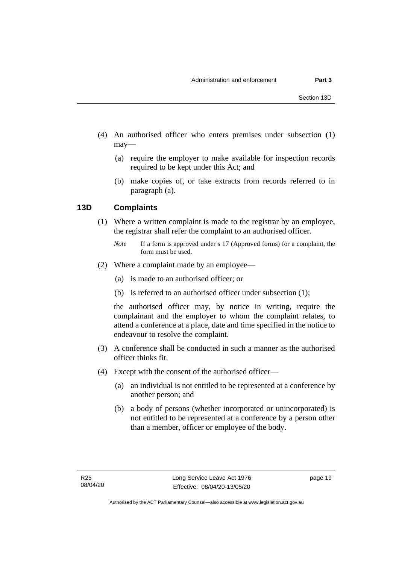- (4) An authorised officer who enters premises under subsection (1) may—
	- (a) require the employer to make available for inspection records required to be kept under this Act; and
	- (b) make copies of, or take extracts from records referred to in paragraph (a).

# <span id="page-24-0"></span>**13D Complaints**

(1) Where a written complaint is made to the registrar by an employee, the registrar shall refer the complaint to an authorised officer.

- (2) Where a complaint made by an employee—
	- (a) is made to an authorised officer; or
	- (b) is referred to an authorised officer under subsection (1);

the authorised officer may, by notice in writing, require the complainant and the employer to whom the complaint relates, to attend a conference at a place, date and time specified in the notice to endeavour to resolve the complaint.

- (3) A conference shall be conducted in such a manner as the authorised officer thinks fit.
- (4) Except with the consent of the authorised officer—
	- (a) an individual is not entitled to be represented at a conference by another person; and
	- (b) a body of persons (whether incorporated or unincorporated) is not entitled to be represented at a conference by a person other than a member, officer or employee of the body.

page 19

*Note* If a form is approved under s 17 (Approved forms) for a complaint, the form must be used.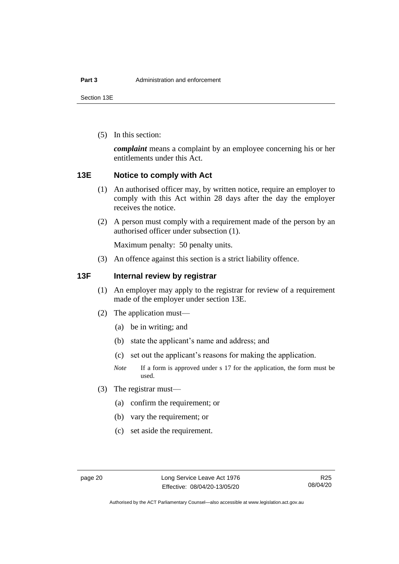Section 13E

(5) In this section:

*complaint* means a complaint by an employee concerning his or her entitlements under this Act.

# <span id="page-25-0"></span>**13E Notice to comply with Act**

- (1) An authorised officer may, by written notice, require an employer to comply with this Act within 28 days after the day the employer receives the notice.
- (2) A person must comply with a requirement made of the person by an authorised officer under subsection (1).

Maximum penalty: 50 penalty units.

(3) An offence against this section is a strict liability offence.

# <span id="page-25-1"></span>**13F Internal review by registrar**

- (1) An employer may apply to the registrar for review of a requirement made of the employer under section 13E.
- (2) The application must—
	- (a) be in writing; and
	- (b) state the applicant's name and address; and
	- (c) set out the applicant's reasons for making the application.
	- *Note* If a form is approved under s 17 for the application, the form must be used.
- (3) The registrar must—
	- (a) confirm the requirement; or
	- (b) vary the requirement; or
	- (c) set aside the requirement.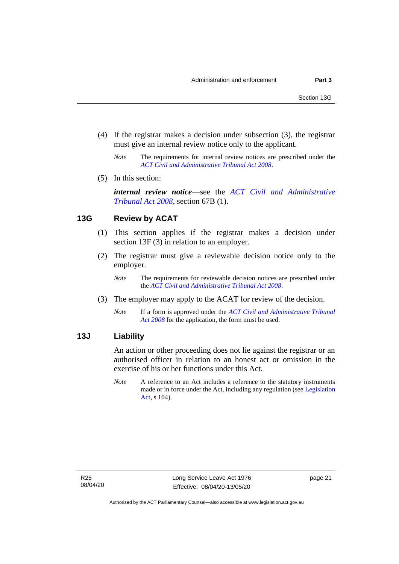- (4) If the registrar makes a decision under subsection (3), the registrar must give an internal review notice only to the applicant.
	- *Note* The requirements for internal review notices are prescribed under the *[ACT Civil and Administrative Tribunal Act 2008](http://www.legislation.act.gov.au/a/2008-35)*.
- (5) In this section:

*internal review notice*—see the *[ACT Civil and Administrative](http://www.legislation.act.gov.au/a/2008-35)  [Tribunal Act 2008](http://www.legislation.act.gov.au/a/2008-35)*, section 67B (1).

# <span id="page-26-0"></span>**13G Review by ACAT**

- (1) This section applies if the registrar makes a decision under section 13F (3) in relation to an employer.
- (2) The registrar must give a reviewable decision notice only to the employer.
	- *Note* The requirements for reviewable decision notices are prescribed under the *ACT Civil and [Administrative Tribunal Act 2008](http://www.legislation.act.gov.au/a/2008-35)*.
- (3) The employer may apply to the ACAT for review of the decision.
	- *Note* If a form is approved under the *[ACT Civil and Administrative Tribunal](http://www.legislation.act.gov.au/a/2008-35)  [Act 2008](http://www.legislation.act.gov.au/a/2008-35)* for the application, the form must be used.

# <span id="page-26-1"></span>**13J Liability**

An action or other proceeding does not lie against the registrar or an authorised officer in relation to an honest act or omission in the exercise of his or her functions under this Act.

*Note* A reference to an Act includes a reference to the statutory instruments made or in force under the Act, including any regulation (see [Legislation](http://www.legislation.act.gov.au/a/2001-14)  [Act,](http://www.legislation.act.gov.au/a/2001-14) s 104).

page 21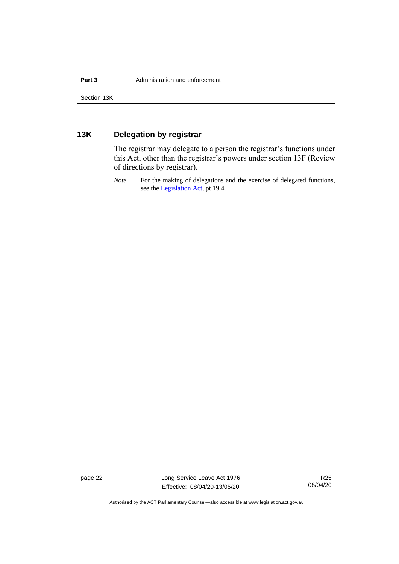# <span id="page-27-0"></span>**13K Delegation by registrar**

The registrar may delegate to a person the registrar's functions under this Act, other than the registrar's powers under section 13F (Review of directions by registrar).

*Note* For the making of delegations and the exercise of delegated functions, see the [Legislation Act,](http://www.legislation.act.gov.au/a/2001-14) pt 19.4.

page 22 Long Service Leave Act 1976 Effective: 08/04/20-13/05/20

R25 08/04/20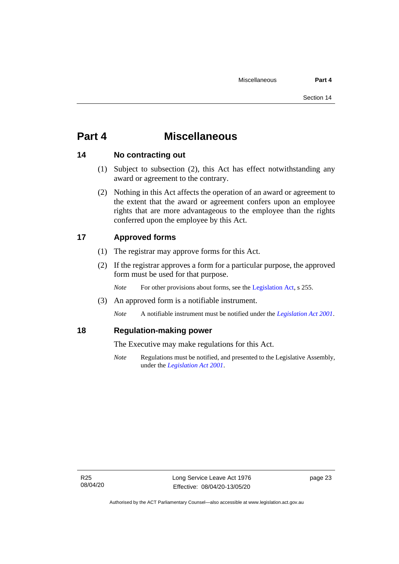# <span id="page-28-0"></span>**Part 4 Miscellaneous**

# <span id="page-28-1"></span>**14 No contracting out**

- (1) Subject to subsection (2), this Act has effect notwithstanding any award or agreement to the contrary.
- (2) Nothing in this Act affects the operation of an award or agreement to the extent that the award or agreement confers upon an employee rights that are more advantageous to the employee than the rights conferred upon the employee by this Act.

# <span id="page-28-2"></span>**17 Approved forms**

- (1) The registrar may approve forms for this Act.
- (2) If the registrar approves a form for a particular purpose, the approved form must be used for that purpose.

*Note* For other provisions about forms, see the [Legislation Act,](http://www.legislation.act.gov.au/a/2001-14) s 255.

(3) An approved form is a notifiable instrument.

*Note* A notifiable instrument must be notified under the *[Legislation Act 2001](http://www.legislation.act.gov.au/a/2001-14)*.

# <span id="page-28-3"></span>**18 Regulation-making power**

The Executive may make regulations for this Act.

*Note* Regulations must be notified, and presented to the Legislative Assembly, under the *[Legislation Act 2001](http://www.legislation.act.gov.au/a/2001-14)*.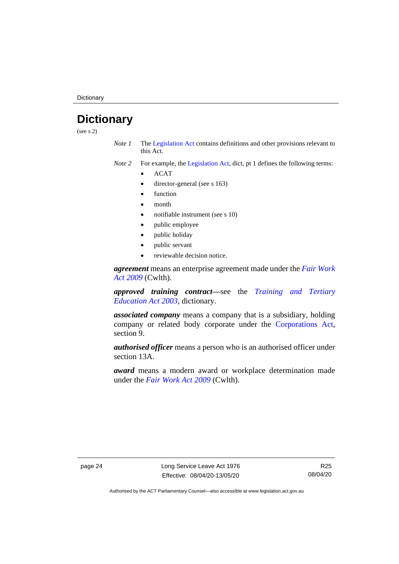**Dictionary** 

# <span id="page-29-0"></span>**Dictionary**

(see s 2)

*Note 1* The [Legislation Act](http://www.legislation.act.gov.au/a/2001-14) contains definitions and other provisions relevant to this Act.

*Note 2* For example, the [Legislation Act,](http://www.legislation.act.gov.au/a/2001-14) dict, pt 1 defines the following terms:

- ACAT
- director-general (see s 163)
- **function**
- month
- notifiable instrument (see s 10)
- public employee
- public holiday
- public servant
- reviewable decision notice.

*agreement* means an enterprise agreement made under the *[Fair Work](http://www.comlaw.gov.au/Series/C2009A00028)  [Act 2009](http://www.comlaw.gov.au/Series/C2009A00028)* (Cwlth).

*approved training contract—*see the *[Training and Tertiary](http://www.legislation.act.gov.au/a/2003-36)  [Education Act 2003](http://www.legislation.act.gov.au/a/2003-36)*, dictionary.

*associated company* means a company that is a subsidiary, holding company or related body corporate under the [Corporations Act,](http://www.comlaw.gov.au/Series/C2004A00818) section 9.

*authorised officer* means a person who is an authorised officer under section 13A.

*award* means a modern award or workplace determination made under the *[Fair Work Act 2009](http://www.comlaw.gov.au/Series/C2009A00028)* (Cwlth).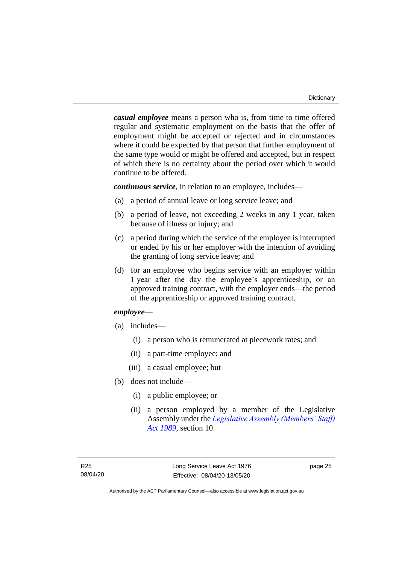*casual employee* means a person who is, from time to time offered regular and systematic employment on the basis that the offer of employment might be accepted or rejected and in circumstances where it could be expected by that person that further employment of the same type would or might be offered and accepted, but in respect of which there is no certainty about the period over which it would continue to be offered.

*continuous service*, in relation to an employee, includes—

- (a) a period of annual leave or long service leave; and
- (b) a period of leave, not exceeding 2 weeks in any 1 year, taken because of illness or injury; and
- (c) a period during which the service of the employee is interrupted or ended by his or her employer with the intention of avoiding the granting of long service leave; and
- (d) for an employee who begins service with an employer within 1 year after the day the employee's apprenticeship, or an approved training contract, with the employer ends—the period of the apprenticeship or approved training contract.

## *employee*—

- (a) includes—
	- (i) a person who is remunerated at piecework rates; and
	- (ii) a part-time employee; and
	- (iii) a casual employee; but
- (b) does not include—
	- (i) a public employee; or
	- (ii) a person employed by a member of the Legislative Assembly under the *[Legislative Assembly \(Members' Staff\)](http://www.legislation.act.gov.au/a/1989-19)  [Act 1989](http://www.legislation.act.gov.au/a/1989-19)*, section 10.

page 25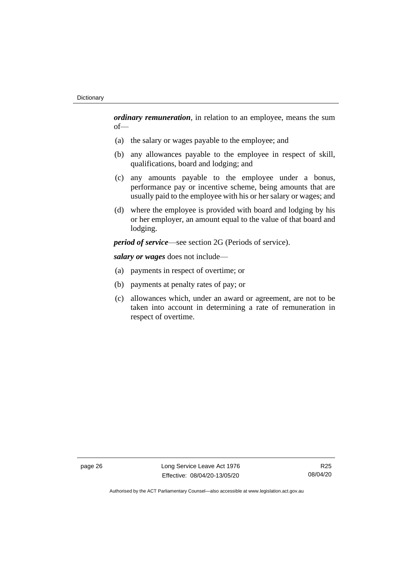*ordinary remuneration*, in relation to an employee, means the sum of—

- (a) the salary or wages payable to the employee; and
- (b) any allowances payable to the employee in respect of skill, qualifications, board and lodging; and
- (c) any amounts payable to the employee under a bonus, performance pay or incentive scheme, being amounts that are usually paid to the employee with his or her salary or wages; and
- (d) where the employee is provided with board and lodging by his or her employer, an amount equal to the value of that board and lodging.

*period of service*—see section 2G (Periods of service).

*salary or wages* does not include—

- (a) payments in respect of overtime; or
- (b) payments at penalty rates of pay; or
- (c) allowances which, under an award or agreement, are not to be taken into account in determining a rate of remuneration in respect of overtime.

page 26 Long Service Leave Act 1976 Effective: 08/04/20-13/05/20

R25 08/04/20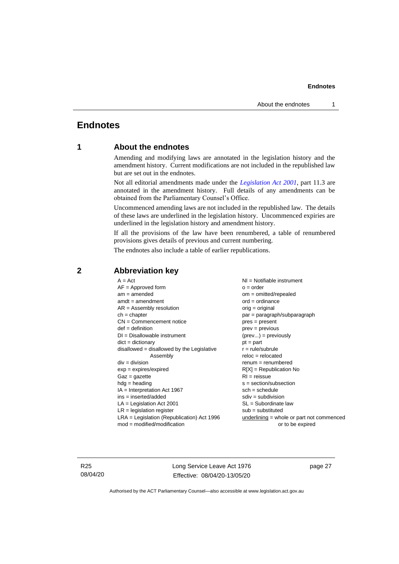# <span id="page-32-1"></span><span id="page-32-0"></span>**Endnotes**

# **1 About the endnotes**

Amending and modifying laws are annotated in the legislation history and the amendment history. Current modifications are not included in the republished law but are set out in the endnotes.

Not all editorial amendments made under the *[Legislation Act 2001](http://www.legislation.act.gov.au/a/2001-14)*, part 11.3 are annotated in the amendment history. Full details of any amendments can be obtained from the Parliamentary Counsel's Office.

Uncommenced amending laws are not included in the republished law. The details of these laws are underlined in the legislation history. Uncommenced expiries are underlined in the legislation history and amendment history.

If all the provisions of the law have been renumbered, a table of renumbered provisions gives details of previous and current numbering.

The endnotes also include a table of earlier republications.

| $A = Act$                                    | $NI = Notifiable$ instrument                |
|----------------------------------------------|---------------------------------------------|
| $AF =$ Approved form                         | $o = order$                                 |
| $am = amended$                               | $om = omitted/repealed$                     |
| $amdt = amendment$                           | $ord = ordinance$                           |
| $AR = Assembly$ resolution                   | $orig = original$                           |
| $ch = chapter$                               | par = paragraph/subparagraph                |
| $CN =$ Commencement notice                   | pres = present                              |
| $def = definition$                           | $prev = previous$                           |
| $DI = Disallowable instrument$               | $(\text{prev}) = \text{previously}$         |
| $dict = dictionary$                          | $pt = part$                                 |
| disallowed = disallowed by the Legislative   | $r = rule/subrule$                          |
| Assembly                                     | $reloc = relocated$                         |
| $div = division$                             | $renum = renumbered$                        |
| $exp = expires/expired$                      | $R[X]$ = Republication No                   |
| $Gaz = gazette$                              | $RI =$ reissue                              |
| $hdg =$ heading                              | $s = section/subsection$                    |
| $IA = Interpretation Act 1967$               | $sch = schedule$                            |
| $ins = inserted/added$                       | $sdiv = subdivision$                        |
| $LA =$ Legislation Act 2001                  | $SL = Subordinate$ law                      |
| $LR =$ legislation register                  | $sub =$ substituted                         |
| $LRA =$ Legislation (Republication) Act 1996 | $underlining = whole or part not commenced$ |
| $mod = modified/modification$                | or to be expired                            |
|                                              |                                             |

# <span id="page-32-2"></span>**2 Abbreviation key**

R25 08/04/20 Long Service Leave Act 1976 Effective: 08/04/20-13/05/20

page 27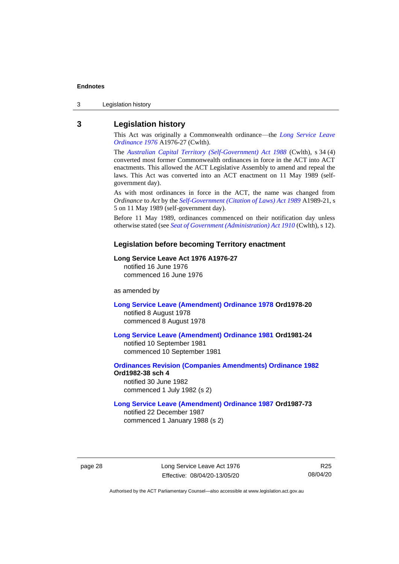3 Legislation history

# <span id="page-33-0"></span>**3 Legislation history**

This Act was originally a Commonwealth ordinance—the *[Long Service Leave](http://www.legislation.act.gov.au/a/1976-27)  [Ordinance 1976](http://www.legislation.act.gov.au/a/1976-27)* A1976-27 (Cwlth).

The *[Australian Capital Territory \(Self-Government\) Act 1988](http://www.comlaw.gov.au/Series/C2004A03699)* (Cwlth), s 34 (4) converted most former Commonwealth ordinances in force in the ACT into ACT enactments. This allowed the ACT Legislative Assembly to amend and repeal the laws. This Act was converted into an ACT enactment on 11 May 1989 (selfgovernment day).

As with most ordinances in force in the ACT, the name was changed from *Ordinance* to *Act* by the *[Self-Government \(Citation of Laws\) Act 1989](http://www.legislation.act.gov.au/a/alt_ord1989-21/default.asp)* A1989-21, s 5 on 11 May 1989 (self-government day).

Before 11 May 1989, ordinances commenced on their notification day unless otherwise stated (see *[Seat of Government \(Administration\) Act 1910](http://www.comlaw.gov.au/Series/C2004A07446)* (Cwlth), s 12).

#### **Legislation before becoming Territory enactment**

#### **Long Service Leave Act 1976 A1976-27**

notified 16 June 1976 commenced 16 June 1976

as amended by

**[Long Service Leave \(Amendment\) Ordinance 1978](http://www.legislation.act.gov.au/a/1978-20) Ord1978-20** notified 8 August 1978 commenced 8 August 1978

**[Long Service Leave \(Amendment\) Ordinance 1981](http://www.legislation.act.gov.au/a/1981-24) Ord1981-24**

notified 10 September 1981 commenced 10 September 1981

**[Ordinances Revision \(Companies Amendments\) Ordinance 1982](http://www.legislation.act.gov.au/ord/1982-38) Ord1982-38 sch 4** notified 30 June 1982

commenced 1 July 1982 (s 2)

#### **[Long Service Leave \(Amendment\) Ordinance 1987](http://www.legislation.act.gov.au/a/1987-73) Ord1987-73**

notified 22 December 1987 commenced 1 January 1988 (s 2)

page 28 Long Service Leave Act 1976 Effective: 08/04/20-13/05/20

R25 08/04/20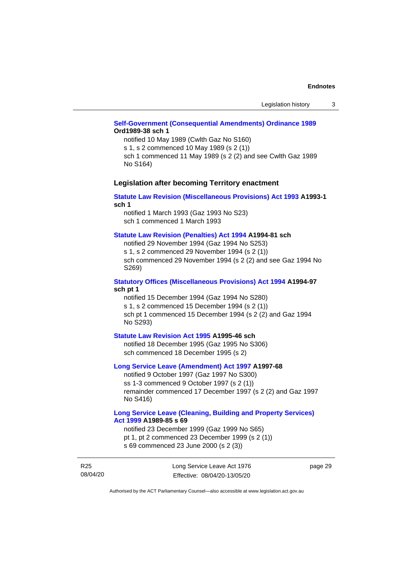## **[Self-Government \(Consequential Amendments\) Ordinance 1989](http://www.legislation.act.gov.au/a/1989-38) Ord1989-38 sch 1**

notified 10 May 1989 (Cwlth Gaz No S160) s 1, s 2 commenced 10 May 1989 (s 2 (1)) sch 1 commenced 11 May 1989 (s 2 (2) and see Cwlth Gaz 1989

No S164)

#### **Legislation after becoming Territory enactment**

#### **[Statute Law Revision \(Miscellaneous Provisions\) Act 1993](http://www.legislation.act.gov.au/a/1993-1) A1993-1 sch 1**

notified 1 March 1993 (Gaz 1993 No S23) sch 1 commenced 1 March 1993

#### **[Statute Law Revision \(Penalties\) Act 1994](http://www.legislation.act.gov.au/a/1994-81) A1994-81 sch**

notified 29 November 1994 (Gaz 1994 No S253) s 1, s 2 commenced 29 November 1994 (s 2 (1)) sch commenced 29 November 1994 (s 2 (2) and see Gaz 1994 No S269)

#### **[Statutory Offices \(Miscellaneous Provisions\) Act 1994](http://www.legislation.act.gov.au/a/1994-97) A1994-97 sch pt 1**

notified 15 December 1994 (Gaz 1994 No S280) s 1, s 2 commenced 15 December 1994 (s 2 (1)) sch pt 1 commenced 15 December 1994 (s 2 (2) and Gaz 1994 No S293)

#### **[Statute Law Revision Act 1995](http://www.legislation.act.gov.au/a/1995-46) A1995-46 sch**

notified 18 December 1995 (Gaz 1995 No S306) sch commenced 18 December 1995 (s 2)

#### **[Long Service Leave \(Amendment\) Act 1997](http://www.legislation.act.gov.au/a/1997-68) A1997-68**

notified 9 October 1997 (Gaz 1997 No S300) ss 1-3 commenced 9 October 1997 (s 2 (1)) remainder commenced 17 December 1997 (s 2 (2) and Gaz 1997 No S416)

#### **[Long Service Leave \(Cleaning, Building and Property Services\)](http://www.legislation.act.gov.au/a/1999-85)  Act [1999](http://www.legislation.act.gov.au/a/1999-85) A1989-85 s 69**

notified 23 December 1999 (Gaz 1999 No S65) pt 1, pt 2 commenced 23 December 1999 (s 2 (1)) s 69 commenced 23 June 2000 (s 2 (3))

R25 08/04/20 Long Service Leave Act 1976 Effective: 08/04/20-13/05/20

page 29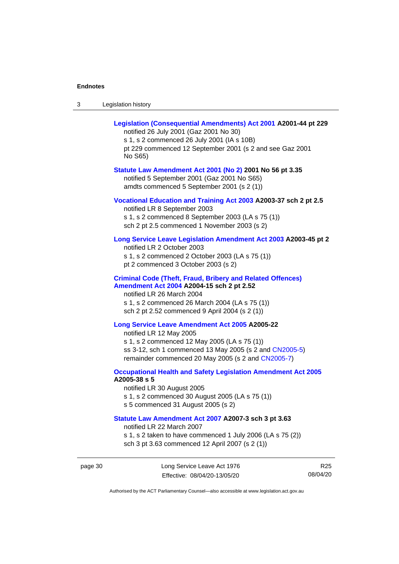page 30

| -3 | Legislation history |  |
|----|---------------------|--|
|----|---------------------|--|

| Legislation (Consequential Amendments) Act 2001 A2001-44 pt 229<br>notified 26 July 2001 (Gaz 2001 No 30)<br>s 1, s 2 commenced 26 July 2001 (IA s 10B)<br>pt 229 commenced 12 September 2001 (s 2 and see Gaz 2001<br>No S65)                  |                 |
|-------------------------------------------------------------------------------------------------------------------------------------------------------------------------------------------------------------------------------------------------|-----------------|
| Statute Law Amendment Act 2001 (No 2) 2001 No 56 pt 3.35<br>notified 5 September 2001 (Gaz 2001 No S65)<br>amdts commenced 5 September 2001 (s 2 (1))                                                                                           |                 |
| Vocational Education and Training Act 2003 A2003-37 sch 2 pt 2.5<br>notified LR 8 September 2003<br>s 1, s 2 commenced 8 September 2003 (LA s 75 (1))<br>sch 2 pt 2.5 commenced 1 November 2003 (s 2)                                           |                 |
| Long Service Leave Legislation Amendment Act 2003 A2003-45 pt 2<br>notified LR 2 October 2003<br>s 1, s 2 commenced 2 October 2003 (LA s 75 (1))<br>pt 2 commenced 3 October 2003 (s 2)                                                         |                 |
| <b>Criminal Code (Theft, Fraud, Bribery and Related Offences)</b><br>Amendment Act 2004 A2004-15 sch 2 pt 2.52<br>notified LR 26 March 2004<br>s 1, s 2 commenced 26 March 2004 (LA s 75 (1))<br>sch 2 pt 2.52 commenced 9 April 2004 (s 2 (1)) |                 |
| Long Service Leave Amendment Act 2005 A2005-22<br>notified LR 12 May 2005<br>s 1, s 2 commenced 12 May 2005 (LA s 75 (1))<br>ss 3-12, sch 1 commenced 13 May 2005 (s 2 and CN2005-5)<br>remainder commenced 20 May 2005 (s 2 and CN2005-7)      |                 |
| <b>Occupational Health and Safety Legislation Amendment Act 2005</b><br>A2005-38 s 5<br>notified LR 30 August 2005<br>s 1, s 2 commenced 30 August 2005 (LA s 75 (1))<br>s 5 commenced 31 August 2005 (s 2)                                     |                 |
| Statute Law Amendment Act 2007 A2007-3 sch 3 pt 3.63<br>notified LR 22 March 2007<br>s 1, s 2 taken to have commenced 1 July 2006 (LA s 75 (2))<br>sch 3 pt 3.63 commenced 12 April 2007 (s 2 (1))                                              |                 |
| Long Service Leave Act 1976<br>Effective: 08/04/20-13/05/20                                                                                                                                                                                     | R25<br>08/04/20 |
| Authorised by the ACT Parliamentary Counsel-also accessible at www.legislation.act.gov.au                                                                                                                                                       |                 |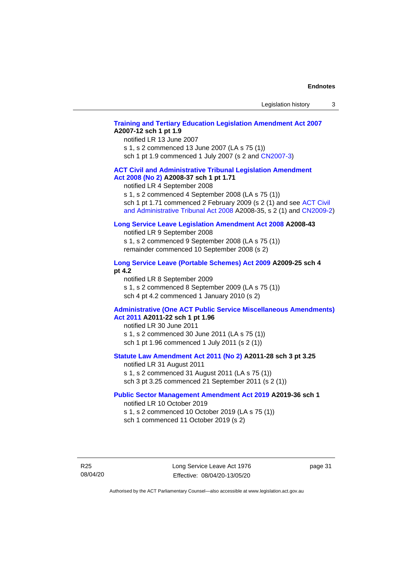## **[Training and Tertiary Education Legislation Amendment Act 2007](http://www.legislation.act.gov.au/a/2007-12) A2007-12 sch 1 pt 1.9**

notified LR 13 June 2007

s 1, s 2 commenced 13 June 2007 (LA s 75 (1)) sch 1 pt 1.9 commenced 1 July 2007 (s 2 and [CN2007-3\)](http://www.legislation.act.gov.au/cn/2007-3/default.asp)

#### **[ACT Civil and Administrative Tribunal Legislation Amendment](http://www.legislation.act.gov.au/a/2008-37)  Act [2008 \(No](http://www.legislation.act.gov.au/a/2008-37) 2) A2008-37 sch 1 pt 1.71**

notified LR 4 September 2008

s 1, s 2 commenced 4 September 2008 (LA s 75 (1))

sch 1 pt 1.71 commenced 2 February 2009 (s 2 (1) and see ACT Civil [and Administrative Tribunal Act 2008](http://www.legislation.act.gov.au/a/2008-35) A2008-35, s 2 (1) and [CN2009-2\)](http://www.legislation.act.gov.au/cn/2009-2/default.asp)

#### **[Long Service Leave Legislation Amendment Act 2008](http://www.legislation.act.gov.au/a/2008-43) A2008-43**

notified LR 9 September 2008 s 1, s 2 commenced 9 September 2008 (LA s 75 (1)) remainder commenced 10 September 2008 (s 2)

#### **[Long Service Leave \(Portable Schemes\) Act 2009](http://www.legislation.act.gov.au/a/2009-25#history) A2009-25 sch 4 pt 4.2**

notified LR 8 September 2009 s 1, s 2 commenced 8 September 2009 (LA s 75 (1)) sch 4 pt 4.2 commenced 1 January 2010 (s 2)

#### **[Administrative \(One ACT Public Service Miscellaneous Amendments\)](http://www.legislation.act.gov.au/a/2011-22)  Act [2011](http://www.legislation.act.gov.au/a/2011-22) A2011-22 sch 1 pt 1.96**

notified LR 30 June 2011 s 1, s 2 commenced 30 June 2011 (LA s 75 (1)) sch 1 pt 1.96 commenced 1 July 2011 (s 2 (1))

## **[Statute Law Amendment Act 2011 \(No 2\)](http://www.legislation.act.gov.au/a/2011-28) A2011-28 sch 3 pt 3.25**

notified LR 31 August 2011 s 1, s 2 commenced 31 August 2011 (LA s 75 (1)) sch 3 pt 3.25 commenced 21 September 2011 (s 2 (1))

#### **[Public Sector Management Amendment Act 2019](http://www.legislation.act.gov.au/a/2019-36/default.asp) A2019-36 sch 1**

notified LR 10 October 2019 s 1, s 2 commenced 10 October 2019 (LA s 75 (1)) sch 1 commenced 11 October 2019 (s 2)

R25 08/04/20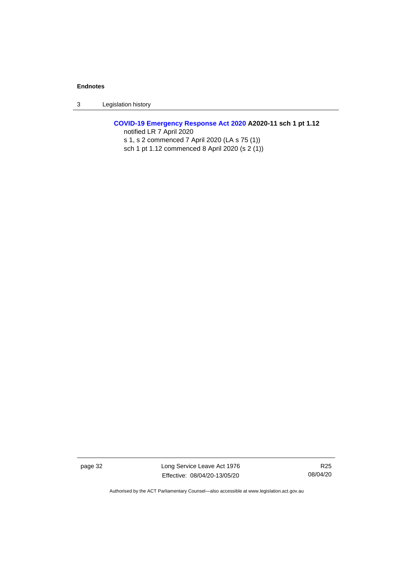3 Legislation history

## **[COVID-19 Emergency Response Act 2020](http://www.legislation.act.gov.au/a/2020-11#history) A2020-11 sch 1 pt 1.12** notified LR 7 April 2020 s 1, s 2 commenced 7 April 2020 (LA s 75 (1))

sch 1 pt 1.12 commenced 8 April 2020 (s 2 (1))

page 32 Long Service Leave Act 1976 Effective: 08/04/20-13/05/20

R25 08/04/20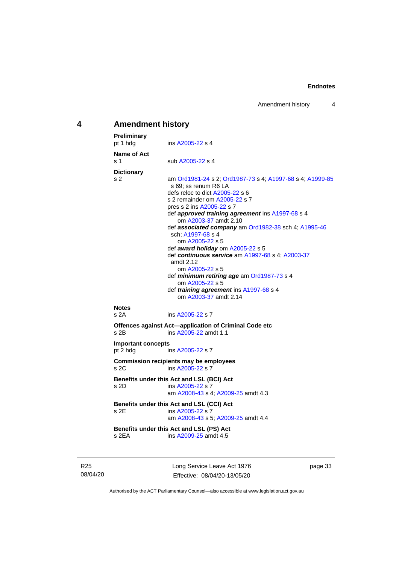# <span id="page-38-0"></span>**4 Amendment history**

| Preliminary<br>pt 1 hdg<br>ins A2005-22 s 4<br>Name of Act<br>s 1<br>sub A2005-22 s 4<br><b>Dictionary</b><br>s 2<br>s 69; ss renum R6 LA<br>defs reloc to dict A2005-22 s 6<br>s 2 remainder om A2005-22 s 7<br>pres s 2 ins A2005-22 s 7<br>def approved training agreement ins A1997-68 s 4<br>om A2003-37 amdt 2.10<br>def associated company am Ord1982-38 sch 4; A1995-46<br>sch: A1997-68 s 4<br>om A2005-22 s 5<br>def award holiday om A2005-22 s 5<br>def continuous service am A1997-68 s 4; A2003-37<br>amdt 2.12<br>om A2005-22 s 5<br>def minimum retiring age am Ord1987-73 s 4<br>om A2005-22 s 5<br>def <i>training agreement</i> ins A1997-68 s 4<br>om A2003-37 amdt 2.14<br><b>Notes</b><br>s 2A<br>ins A2005-22 s 7<br>Offences against Act-application of Criminal Code etc<br>ins A2005-22 amdt 1.1<br>$s$ 2B<br><b>Important concepts</b><br>ins A2005-22 s 7<br>pt 2 hdg<br><b>Commission recipients may be employees</b><br>ins A2005-22 s 7<br>s 2C<br>Benefits under this Act and LSL (BCI) Act<br>s 2D<br>ins A2005-22 s 7<br>am A2008-43 s 4; A2009-25 amdt 4.3<br>Benefits under this Act and LSL (CCI) Act<br>s 2E<br>ins A2005-22 s 7<br>am A2008-43 s 5; A2009-25 amdt 4.4<br>Benefits under this Act and LSL (PS) Act<br>ins A2009-25 amdt 4.5<br>s 2EA |                                                           |
|--------------------------------------------------------------------------------------------------------------------------------------------------------------------------------------------------------------------------------------------------------------------------------------------------------------------------------------------------------------------------------------------------------------------------------------------------------------------------------------------------------------------------------------------------------------------------------------------------------------------------------------------------------------------------------------------------------------------------------------------------------------------------------------------------------------------------------------------------------------------------------------------------------------------------------------------------------------------------------------------------------------------------------------------------------------------------------------------------------------------------------------------------------------------------------------------------------------------------------------------------------------------------------------------|-----------------------------------------------------------|
|                                                                                                                                                                                                                                                                                                                                                                                                                                                                                                                                                                                                                                                                                                                                                                                                                                                                                                                                                                                                                                                                                                                                                                                                                                                                                            |                                                           |
|                                                                                                                                                                                                                                                                                                                                                                                                                                                                                                                                                                                                                                                                                                                                                                                                                                                                                                                                                                                                                                                                                                                                                                                                                                                                                            |                                                           |
|                                                                                                                                                                                                                                                                                                                                                                                                                                                                                                                                                                                                                                                                                                                                                                                                                                                                                                                                                                                                                                                                                                                                                                                                                                                                                            | am Ord1981-24 s 2; Ord1987-73 s 4; A1997-68 s 4; A1999-85 |
|                                                                                                                                                                                                                                                                                                                                                                                                                                                                                                                                                                                                                                                                                                                                                                                                                                                                                                                                                                                                                                                                                                                                                                                                                                                                                            |                                                           |
|                                                                                                                                                                                                                                                                                                                                                                                                                                                                                                                                                                                                                                                                                                                                                                                                                                                                                                                                                                                                                                                                                                                                                                                                                                                                                            |                                                           |
|                                                                                                                                                                                                                                                                                                                                                                                                                                                                                                                                                                                                                                                                                                                                                                                                                                                                                                                                                                                                                                                                                                                                                                                                                                                                                            |                                                           |
|                                                                                                                                                                                                                                                                                                                                                                                                                                                                                                                                                                                                                                                                                                                                                                                                                                                                                                                                                                                                                                                                                                                                                                                                                                                                                            |                                                           |
|                                                                                                                                                                                                                                                                                                                                                                                                                                                                                                                                                                                                                                                                                                                                                                                                                                                                                                                                                                                                                                                                                                                                                                                                                                                                                            |                                                           |
|                                                                                                                                                                                                                                                                                                                                                                                                                                                                                                                                                                                                                                                                                                                                                                                                                                                                                                                                                                                                                                                                                                                                                                                                                                                                                            |                                                           |
|                                                                                                                                                                                                                                                                                                                                                                                                                                                                                                                                                                                                                                                                                                                                                                                                                                                                                                                                                                                                                                                                                                                                                                                                                                                                                            |                                                           |

R25 08/04/20 Long Service Leave Act 1976 Effective: 08/04/20-13/05/20

page 33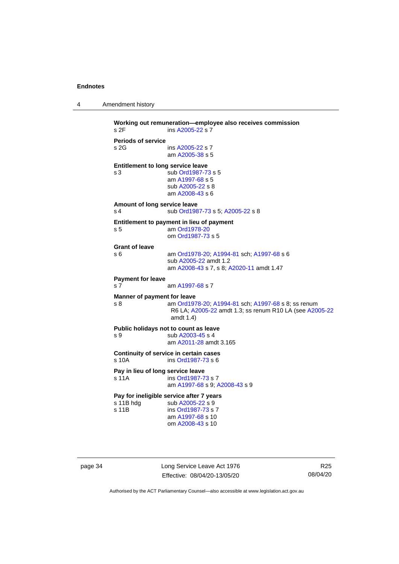```
4 Amendment history
```

```
Working out remuneration—employee also receives commission
 A2005-22 s 7
Periods of service
s 2G ins A2005-22 s 7
                am A2005-38 s 5
Entitlement to long service leave
s 3 sub Ord1987-73 s 5
                am A1997-68 s 5
                sub A2005-22 s 8
                am A2008-43 s 6
Amount of long service leave
 Ord1987-73; A2005-22 s 8
Entitlement to payment in lieu of payment
s 5 am Ord1978-20
                om Ord1987-73 s 5
Grant of leave
s 6 am Ord1978-20; A1994-81 sch; A1997-68 s 6
                sub A2005-22 amdt 1.2
                am A2008-43 s 7, s 8; A2020-11 amdt 1.47
Payment for leave
 A1997-68 s 7
Manner of payment for leave
s 8 am Ord1978-20; A1994-81 sch; A1997-68 s 8; ss renum 
                 R6 LA; A2005-22 amdt 1.3; ss renum R10 LA (see A2005-22
                 amdt 1.4)
Public holidays not to count as leave<br>s 9 sub A2003-45 s 4
                 A2003-45 s 4
                am A2011-28 amdt 3.165
Continuity of service in certain cases
 Ord1987-73 s 6
Pay in lieu of long service leave
 Ord1987-73 s 7
                am A1997-68 s 9; A2008-43 s 9
Pay for ineligible service after 7 years<br>s 11B hdg sub A2005-22 s 9
                 A2005-22 s 9
s 11B ins Ord1987-73 s 7
                am A1997-68 s 10
                om A2008-43 s 10
```
page 34 Long Service Leave Act 1976 Effective: 08/04/20-13/05/20

R25 08/04/20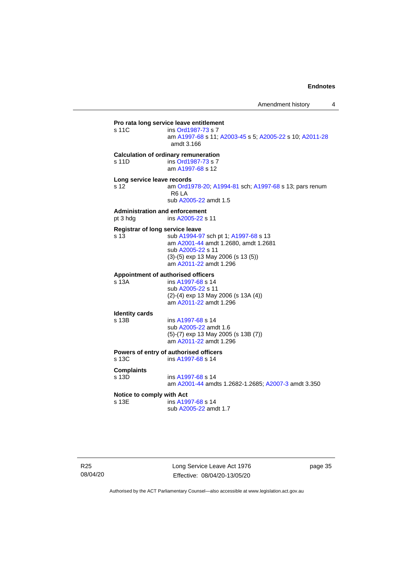**Pro rata long service leave entitlement**<br>s 11C ins Ord1987-73 s 7 ins [Ord1987-73](http://www.legislation.act.gov.au/a/1987-73) s 7 am [A1997-68](http://www.legislation.act.gov.au/a/1997-68) s 11[; A2003-45](http://www.legislation.act.gov.au/a/2003-45) s 5; [A2005-22](http://www.legislation.act.gov.au/a/2005-22) s 10[; A2011-28](http://www.legislation.act.gov.au/a/2011-28) amdt 3.166 **Calculation of ordinary remuneration** s 11D ins [Ord1987-73](http://www.legislation.act.gov.au/a/1987-73) s 7 am [A1997-68](http://www.legislation.act.gov.au/a/1997-68) s 12 **Long service leave records** s 12 am [Ord1978-20;](http://www.legislation.act.gov.au/a/1978-20) [A1994-81](http://www.legislation.act.gov.au/a/1994-81) sch[; A1997-68](http://www.legislation.act.gov.au/a/1997-68) s 13; pars renum R6 LA sub [A2005-22](http://www.legislation.act.gov.au/a/2005-22) amdt 1.5 **Administration and enforcement** pt 3 hdg ins [A2005-22](http://www.legislation.act.gov.au/a/2005-22) s 11 **Registrar of long service leave** s 13 sub [A1994-97](http://www.legislation.act.gov.au/a/1994-97) sch pt 1; [A1997-68](http://www.legislation.act.gov.au/a/1997-68) s 13 am [A2001-44](http://www.legislation.act.gov.au/a/2001-44) amdt 1.2680, amdt 1.2681 sub [A2005-22](http://www.legislation.act.gov.au/a/2005-22) s 11 (3)-(5) exp 13 May 2006 (s 13 (5)) am [A2011-22](http://www.legislation.act.gov.au/a/2011-22) amdt 1.296 **Appointment of authorised officers** s 13A ins [A1997-68](http://www.legislation.act.gov.au/a/1997-68) s 14 sub [A2005-22](http://www.legislation.act.gov.au/a/2005-22) s 11 (2)-(4) exp 13 May 2006 (s 13A (4)) am [A2011-22](http://www.legislation.act.gov.au/a/2011-22) amdt 1.296 **Identity cards**  $ins A1997-68 s 14$  $ins A1997-68 s 14$  $ins A1997-68 s 14$ sub [A2005-22](http://www.legislation.act.gov.au/a/2005-22) amdt 1.6 (5)-(7) exp 13 May 2005 (s 13B (7)) am [A2011-22](http://www.legislation.act.gov.au/a/2011-22) amdt 1.296 **Powers of entry of authorised officers** s 13C ins [A1997-68](http://www.legislation.act.gov.au/a/1997-68) s 14 **Complaints** ins [A1997-68](http://www.legislation.act.gov.au/a/1997-68) s 14 am [A2001-44](http://www.legislation.act.gov.au/a/2001-44) amdts 1.2682-1.2685[; A2007-3](http://www.legislation.act.gov.au/a/2007-3) amdt 3.350 **Notice to comply with Act** s 13E ins [A1997-68](http://www.legislation.act.gov.au/a/1997-68) s 14 sub [A2005-22](http://www.legislation.act.gov.au/a/2005-22) amdt 1.7

Long Service Leave Act 1976 Effective: 08/04/20-13/05/20

page 35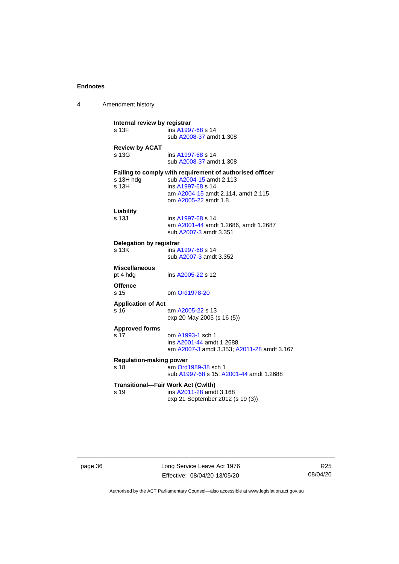4 Amendment history

| Internal review by registrar<br>ins A1997-68 s 14<br>s 13F<br>sub A2008-37 amdt 1.308 |                                                                                                                                                                        |  |  |
|---------------------------------------------------------------------------------------|------------------------------------------------------------------------------------------------------------------------------------------------------------------------|--|--|
| <b>Review by ACAT</b><br>s 13G                                                        | ins A1997-68 s 14<br>sub A2008-37 amdt 1.308                                                                                                                           |  |  |
| s 13H hdg<br>s 13H                                                                    | Failing to comply with requirement of authorised officer<br>sub A2004-15 amdt 2.113<br>ins A1997-68 s 14<br>am A2004-15 amdt 2.114, amdt 2.115<br>om A2005-22 amdt 1.8 |  |  |
| Liability<br>s 13J                                                                    | ins A1997-68 s 14<br>am A2001-44 amdt 1.2686, amdt 1.2687<br>sub A2007-3 amdt 3.351                                                                                    |  |  |
| Delegation by registrar<br>s 13K                                                      | ins A1997-68 s 14<br>sub A2007-3 amdt 3.352                                                                                                                            |  |  |
| <b>Miscellaneous</b><br>pt 4 hdg                                                      | ins A2005-22 s 12                                                                                                                                                      |  |  |
| <b>Offence</b><br>s 15                                                                | om Ord1978-20                                                                                                                                                          |  |  |
| <b>Application of Act</b><br>s 16                                                     | am A2005-22 s 13<br>exp 20 May 2005 (s 16 (5))                                                                                                                         |  |  |
| <b>Approved forms</b><br>s 17                                                         | om A1993-1 sch 1<br>ins A2001-44 amdt 1.2688<br>am A2007-3 amdt 3.353; A2011-28 amdt 3.167                                                                             |  |  |
| <b>Regulation-making power</b><br>s 18                                                | am Ord1989-38 sch 1<br>sub A1997-68 s 15; A2001-44 amdt 1.2688                                                                                                         |  |  |
| s 19                                                                                  | <b>Transitional-Fair Work Act (Cwlth)</b><br>ins A2011-28 amdt 3.168<br>exp 21 September 2012 (s 19 (3))                                                               |  |  |
|                                                                                       |                                                                                                                                                                        |  |  |

page 36 Long Service Leave Act 1976 Effective: 08/04/20-13/05/20

R25 08/04/20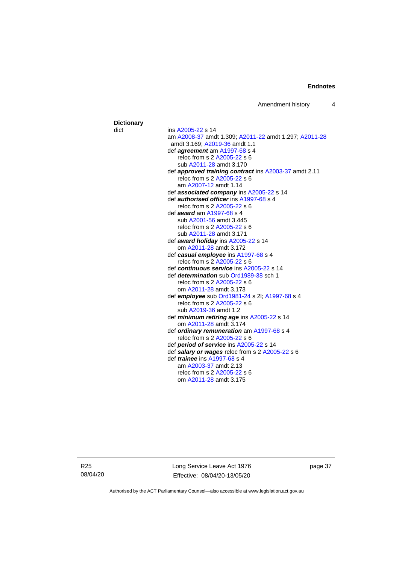Amendment history 4

#### **Dictionary** dict ins [A2005-22](http://www.legislation.act.gov.au/a/2005-22) s 14 am [A2008-37](http://www.legislation.act.gov.au/a/2008-37) amdt 1.309[; A2011-22](http://www.legislation.act.gov.au/a/2011-22) amdt 1.297; [A2011-28](http://www.legislation.act.gov.au/a/2011-28) amdt 3.169; [A2019-36](http://www.legislation.act.gov.au/a/2019-36/default.asp) amdt 1.1 def *agreement* am [A1997-68](http://www.legislation.act.gov.au/a/1997-68) s 4 reloc from s 2 [A2005-22](http://www.legislation.act.gov.au/a/2005-22) s 6 sub [A2011-28](http://www.legislation.act.gov.au/a/2011-28) amdt 3.170 def *approved training contract* in[s A2003-37](http://www.legislation.act.gov.au/a/2003-37) amdt 2.11 reloc from s 2 [A2005-22](http://www.legislation.act.gov.au/a/2005-22) s 6 am [A2007-12](http://www.legislation.act.gov.au/a/2007-12) amdt 1.14 def *associated company* ins [A2005-22](http://www.legislation.act.gov.au/a/2005-22) s 14 def *authorised officer* in[s A1997-68](http://www.legislation.act.gov.au/a/1997-68) s 4 reloc from s 2 [A2005-22](http://www.legislation.act.gov.au/a/2005-22) s 6 def *award* a[m A1997-68](http://www.legislation.act.gov.au/a/1997-68) s 4 sub [A2001-56](http://www.legislation.act.gov.au/a/2001-56) amdt 3.445 reloc from s 2 [A2005-22](http://www.legislation.act.gov.au/a/2005-22) s 6 sub [A2011-28](http://www.legislation.act.gov.au/a/2011-28) amdt 3.171 def *award holiday* in[s A2005-22](http://www.legislation.act.gov.au/a/2005-22) s 14 om [A2011-28](http://www.legislation.act.gov.au/a/2011-28) amdt 3.172 def *casual employee* in[s A1997-68](http://www.legislation.act.gov.au/a/1997-68) s 4 reloc from s 2 [A2005-22](http://www.legislation.act.gov.au/a/2005-22) s 6 def *continuous service* in[s A2005-22](http://www.legislation.act.gov.au/a/2005-22) s 14 def *determination* sub [Ord1989-38](http://www.legislation.act.gov.au/a/1989-38) sch 1 reloc from s 2 [A2005-22](http://www.legislation.act.gov.au/a/2005-22) s 6 om [A2011-28](http://www.legislation.act.gov.au/a/2011-28) amdt 3.173 def *employee* sub [Ord1981-24](http://www.legislation.act.gov.au/a/1981-24) s 2l[; A1997-68](http://www.legislation.act.gov.au/a/1997-68) s 4 reloc from s 2 [A2005-22](http://www.legislation.act.gov.au/a/2005-22) s 6 sub [A2019-36](http://www.legislation.act.gov.au/a/2019-36/default.asp) amdt 1.2 def *minimum retiring age* ins [A2005-22](http://www.legislation.act.gov.au/a/2005-22) s 14 om [A2011-28](http://www.legislation.act.gov.au/a/2011-28) amdt 3.174 def *ordinary remuneration* a[m A1997-68](http://www.legislation.act.gov.au/a/1997-68) s 4 reloc from s 2 [A2005-22](http://www.legislation.act.gov.au/a/2005-22) s 6 def *period of service* in[s A2005-22](http://www.legislation.act.gov.au/a/2005-22) s 14 def *salary or wages* reloc from s 2 [A2005-22](http://www.legislation.act.gov.au/a/2005-22) s 6 def *trainee* ins [A1997-68](http://www.legislation.act.gov.au/a/1997-68) s 4 am [A2003-37](http://www.legislation.act.gov.au/a/2003-37) amdt 2.13 reloc from s 2 [A2005-22](http://www.legislation.act.gov.au/a/2005-22) s 6 om [A2011-28](http://www.legislation.act.gov.au/a/2011-28) amdt 3.175

R25 08/04/20 Long Service Leave Act 1976 Effective: 08/04/20-13/05/20

page 37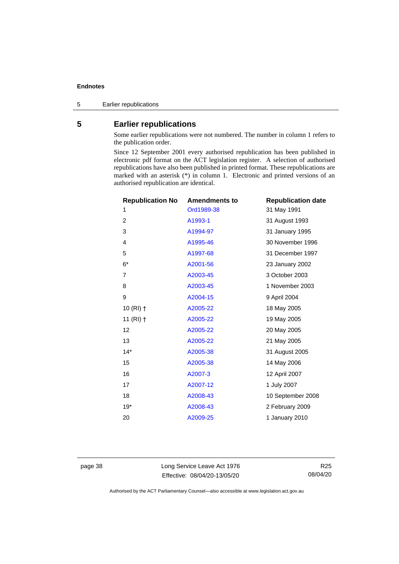5 Earlier republications

# <span id="page-43-0"></span>**5 Earlier republications**

Some earlier republications were not numbered. The number in column 1 refers to the publication order.

Since 12 September 2001 every authorised republication has been published in electronic pdf format on the ACT legislation register. A selection of authorised republications have also been published in printed format. These republications are marked with an asterisk (\*) in column 1. Electronic and printed versions of an authorised republication are identical.

| <b>Republication No</b> | <b>Amendments to</b> | <b>Republication date</b> |
|-------------------------|----------------------|---------------------------|
| 1                       | Ord1989-38           | 31 May 1991               |
| $\overline{2}$          | A1993-1              | 31 August 1993            |
| 3                       | A1994-97             | 31 January 1995           |
| 4                       | A1995-46             | 30 November 1996          |
| 5                       | A1997-68             | 31 December 1997          |
| $6*$                    | A2001-56             | 23 January 2002           |
| $\overline{7}$          | A2003-45             | 3 October 2003            |
| 8                       | A2003-45             | 1 November 2003           |
| 9                       | A2004-15             | 9 April 2004              |
| $10(RI)$ †              | A2005-22             | 18 May 2005               |
| 11 $(RI)$ †             | A2005-22             | 19 May 2005               |
| 12                      | A2005-22             | 20 May 2005               |
| 13                      | A2005-22             | 21 May 2005               |
| $14*$                   | A2005-38             | 31 August 2005            |
| 15                      | A2005-38             | 14 May 2006               |
| 16                      | A2007-3              | 12 April 2007             |
| 17                      | A2007-12             | 1 July 2007               |
| 18                      | A2008-43             | 10 September 2008         |
| $19*$                   | A2008-43             | 2 February 2009           |
| 20                      | A2009-25             | 1 January 2010            |
|                         |                      |                           |

page 38 Long Service Leave Act 1976 Effective: 08/04/20-13/05/20

R25 08/04/20